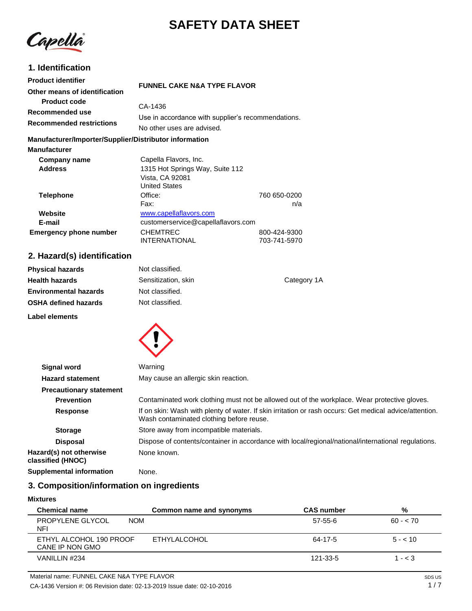# **SAFETY DATA SHEET**

Capella

# **1. Identification**

| <b>Product identifier</b><br>Other means of identification                | <b>FUNNEL CAKE N&amp;A TYPE FLAVOR</b>                                                              |                              |
|---------------------------------------------------------------------------|-----------------------------------------------------------------------------------------------------|------------------------------|
| <b>Product code</b><br>Recommended use<br><b>Recommended restrictions</b> | CA-1436<br>Use in accordance with supplier's recommendations.<br>No other uses are advised.         |                              |
| Manufacturer/Importer/Supplier/Distributor information                    |                                                                                                     |                              |
| <b>Manufacturer</b>                                                       |                                                                                                     |                              |
| Company name<br><b>Address</b>                                            | Capella Flavors, Inc.<br>1315 Hot Springs Way, Suite 112<br>Vista, CA 92081<br><b>United States</b> |                              |
| <b>Telephone</b>                                                          | Office:<br>Fax:                                                                                     | 760 650-0200<br>n/a          |
| Website<br>E-mail                                                         | www.capellaflavors.com<br>customerservice@capellaflavors.com                                        |                              |
| <b>Emergency phone number</b>                                             | <b>CHEMTREC</b><br>INTERNATIONAL                                                                    | 800-424-9300<br>703-741-5970 |

# **2. Hazard(s) identification**

| <b>Physical hazards</b>      | Not classified.     |             |
|------------------------------|---------------------|-------------|
| <b>Health hazards</b>        | Sensitization, skin | Category 1A |
| <b>Environmental hazards</b> | Not classified.     |             |
| <b>OSHA defined hazards</b>  | Not classified.     |             |
| Label elements               |                     |             |



| <b>Signal word</b>                           | Warning                                                                                                                                             |
|----------------------------------------------|-----------------------------------------------------------------------------------------------------------------------------------------------------|
| <b>Hazard statement</b>                      | May cause an allergic skin reaction.                                                                                                                |
| <b>Precautionary statement</b>               |                                                                                                                                                     |
| <b>Prevention</b>                            | Contaminated work clothing must not be allowed out of the workplace. Wear protective gloves.                                                        |
| <b>Response</b>                              | If on skin: Wash with plenty of water. If skin irritation or rash occurs: Get medical advice/attention.<br>Wash contaminated clothing before reuse. |
| <b>Storage</b>                               | Store away from incompatible materials.                                                                                                             |
| <b>Disposal</b>                              | Dispose of contents/container in accordance with local/regional/national/international regulations.                                                 |
| Hazard(s) not otherwise<br>classified (HNOC) | None known.                                                                                                                                         |
| <b>Supplemental information</b>              | None.                                                                                                                                               |

# **3. Composition/information on ingredients**

#### **Mixtures**

| <b>Chemical name</b>                       | Common name and synonyms | <b>CAS number</b> | %         |
|--------------------------------------------|--------------------------|-------------------|-----------|
| PROPYLENE GLYCOL<br><b>NOM</b><br>NFI      |                          | 57-55-6           | $60 - 70$ |
| ETHYL ALCOHOL 190 PROOF<br>CANE IP NON GMO | ETHYLALCOHOL             | 64-17-5           | $5 - 10$  |
| VANILLIN #234                              |                          | 121-33-5          | $1 - < 3$ |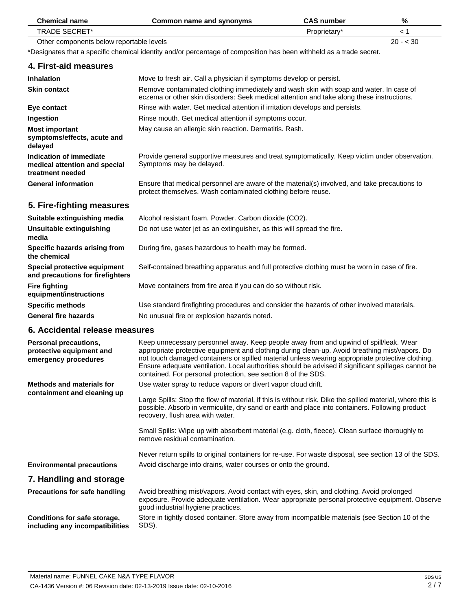| <b>Chemical name</b>                                                         | Common name and synonyms                                                                                                                                                                                                                                                                                                                                                                                                                                            | <b>CAS number</b> | %         |
|------------------------------------------------------------------------------|---------------------------------------------------------------------------------------------------------------------------------------------------------------------------------------------------------------------------------------------------------------------------------------------------------------------------------------------------------------------------------------------------------------------------------------------------------------------|-------------------|-----------|
| <b>TRADE SECRET*</b>                                                         |                                                                                                                                                                                                                                                                                                                                                                                                                                                                     | Proprietary*      | < 1       |
| Other components below reportable levels                                     |                                                                                                                                                                                                                                                                                                                                                                                                                                                                     |                   | $20 - 30$ |
|                                                                              | *Designates that a specific chemical identity and/or percentage of composition has been withheld as a trade secret.                                                                                                                                                                                                                                                                                                                                                 |                   |           |
| 4. First-aid measures                                                        |                                                                                                                                                                                                                                                                                                                                                                                                                                                                     |                   |           |
| <b>Inhalation</b>                                                            | Move to fresh air. Call a physician if symptoms develop or persist.                                                                                                                                                                                                                                                                                                                                                                                                 |                   |           |
| <b>Skin contact</b>                                                          | Remove contaminated clothing immediately and wash skin with soap and water. In case of<br>eczema or other skin disorders: Seek medical attention and take along these instructions.                                                                                                                                                                                                                                                                                 |                   |           |
| Eye contact                                                                  | Rinse with water. Get medical attention if irritation develops and persists.                                                                                                                                                                                                                                                                                                                                                                                        |                   |           |
| Ingestion                                                                    | Rinse mouth. Get medical attention if symptoms occur.                                                                                                                                                                                                                                                                                                                                                                                                               |                   |           |
| <b>Most important</b><br>symptoms/effects, acute and<br>delayed              | May cause an allergic skin reaction. Dermatitis. Rash.                                                                                                                                                                                                                                                                                                                                                                                                              |                   |           |
| Indication of immediate<br>medical attention and special<br>treatment needed | Provide general supportive measures and treat symptomatically. Keep victim under observation.<br>Symptoms may be delayed.                                                                                                                                                                                                                                                                                                                                           |                   |           |
| <b>General information</b>                                                   | Ensure that medical personnel are aware of the material(s) involved, and take precautions to<br>protect themselves. Wash contaminated clothing before reuse.                                                                                                                                                                                                                                                                                                        |                   |           |
| 5. Fire-fighting measures                                                    |                                                                                                                                                                                                                                                                                                                                                                                                                                                                     |                   |           |
| Suitable extinguishing media                                                 | Alcohol resistant foam. Powder. Carbon dioxide (CO2).                                                                                                                                                                                                                                                                                                                                                                                                               |                   |           |
| <b>Unsuitable extinguishing</b><br>media                                     | Do not use water jet as an extinguisher, as this will spread the fire.                                                                                                                                                                                                                                                                                                                                                                                              |                   |           |
| Specific hazards arising from<br>the chemical                                | During fire, gases hazardous to health may be formed.                                                                                                                                                                                                                                                                                                                                                                                                               |                   |           |
| Special protective equipment<br>and precautions for firefighters             | Self-contained breathing apparatus and full protective clothing must be worn in case of fire.                                                                                                                                                                                                                                                                                                                                                                       |                   |           |
| <b>Fire fighting</b><br>equipment/instructions                               | Move containers from fire area if you can do so without risk.                                                                                                                                                                                                                                                                                                                                                                                                       |                   |           |
| <b>Specific methods</b>                                                      | Use standard firefighting procedures and consider the hazards of other involved materials.                                                                                                                                                                                                                                                                                                                                                                          |                   |           |
| <b>General fire hazards</b>                                                  | No unusual fire or explosion hazards noted.                                                                                                                                                                                                                                                                                                                                                                                                                         |                   |           |
| 6. Accidental release measures                                               |                                                                                                                                                                                                                                                                                                                                                                                                                                                                     |                   |           |
| Personal precautions,<br>protective equipment and<br>emergency procedures    | Keep unnecessary personnel away. Keep people away from and upwind of spill/leak. Wear<br>appropriate protective equipment and clothing during clean-up. Avoid breathing mist/vapors. Do<br>not touch damaged containers or spilled material unless wearing appropriate protective clothing.<br>Ensure adequate ventilation. Local authorities should be advised if significant spillages cannot be<br>contained. For personal protection, see section 8 of the SDS. |                   |           |
| <b>Methods and materials for</b>                                             | Use water spray to reduce vapors or divert vapor cloud drift.                                                                                                                                                                                                                                                                                                                                                                                                       |                   |           |
| containment and cleaning up                                                  | Large Spills: Stop the flow of material, if this is without risk. Dike the spilled material, where this is<br>possible. Absorb in vermiculite, dry sand or earth and place into containers. Following product<br>recovery, flush area with water.                                                                                                                                                                                                                   |                   |           |
|                                                                              | Small Spills: Wipe up with absorbent material (e.g. cloth, fleece). Clean surface thoroughly to<br>remove residual contamination.                                                                                                                                                                                                                                                                                                                                   |                   |           |
|                                                                              | Never return spills to original containers for re-use. For waste disposal, see section 13 of the SDS.                                                                                                                                                                                                                                                                                                                                                               |                   |           |
| <b>Environmental precautions</b>                                             | Avoid discharge into drains, water courses or onto the ground.                                                                                                                                                                                                                                                                                                                                                                                                      |                   |           |
| 7. Handling and storage                                                      |                                                                                                                                                                                                                                                                                                                                                                                                                                                                     |                   |           |
| <b>Precautions for safe handling</b>                                         | Avoid breathing mist/vapors. Avoid contact with eyes, skin, and clothing. Avoid prolonged<br>exposure. Provide adequate ventilation. Wear appropriate personal protective equipment. Observe<br>good industrial hygiene practices.                                                                                                                                                                                                                                  |                   |           |
| Conditions for safe storage,<br>including any incompatibilities              | Store in tightly closed container. Store away from incompatible materials (see Section 10 of the<br>SDS).                                                                                                                                                                                                                                                                                                                                                           |                   |           |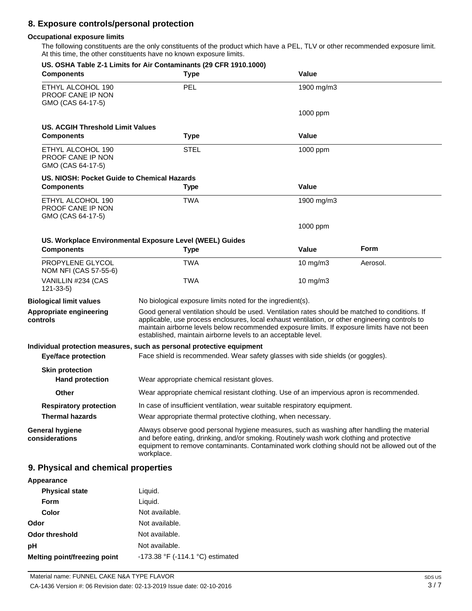# **8. Exposure controls/personal protection**

### **Occupational exposure limits**

The following constituents are the only constituents of the product which have a PEL, TLV or other recommended exposure limit. At this time, the other constituents have no known exposure limits.

| <b>Components</b>                                           | US. OSHA Table Z-1 Limits for Air Contaminants (29 CFR 1910.1000)<br><b>Type</b>                                                                                                                                                                                                                                                                                   | Value        |             |
|-------------------------------------------------------------|--------------------------------------------------------------------------------------------------------------------------------------------------------------------------------------------------------------------------------------------------------------------------------------------------------------------------------------------------------------------|--------------|-------------|
| ETHYL ALCOHOL 190<br>PROOF CANE IP NON<br>GMO (CAS 64-17-5) | PEL                                                                                                                                                                                                                                                                                                                                                                | 1900 mg/m3   |             |
|                                                             |                                                                                                                                                                                                                                                                                                                                                                    | 1000 ppm     |             |
| <b>US. ACGIH Threshold Limit Values</b>                     |                                                                                                                                                                                                                                                                                                                                                                    |              |             |
| <b>Components</b>                                           | <b>Type</b>                                                                                                                                                                                                                                                                                                                                                        | Value        |             |
| ETHYL ALCOHOL 190<br>PROOF CANE IP NON<br>GMO (CAS 64-17-5) | <b>STEL</b>                                                                                                                                                                                                                                                                                                                                                        | 1000 ppm     |             |
| US. NIOSH: Pocket Guide to Chemical Hazards                 |                                                                                                                                                                                                                                                                                                                                                                    |              |             |
| <b>Components</b>                                           | <b>Type</b>                                                                                                                                                                                                                                                                                                                                                        | <b>Value</b> |             |
| ETHYL ALCOHOL 190<br>PROOF CANE IP NON<br>GMO (CAS 64-17-5) | TWA                                                                                                                                                                                                                                                                                                                                                                | 1900 mg/m3   |             |
|                                                             |                                                                                                                                                                                                                                                                                                                                                                    | 1000 ppm     |             |
|                                                             | US. Workplace Environmental Exposure Level (WEEL) Guides                                                                                                                                                                                                                                                                                                           |              |             |
| <b>Components</b>                                           | <b>Type</b>                                                                                                                                                                                                                                                                                                                                                        | Value        | <b>Form</b> |
| PROPYLENE GLYCOL<br>NOM NFI (CAS 57-55-6)                   | <b>TWA</b>                                                                                                                                                                                                                                                                                                                                                         | 10 mg/m3     | Aerosol.    |
| VANILLIN #234 (CAS<br>$121 - 33 - 5$                        | TWA                                                                                                                                                                                                                                                                                                                                                                | 10 $mg/m3$   |             |
| <b>Biological limit values</b>                              | No biological exposure limits noted for the ingredient(s).                                                                                                                                                                                                                                                                                                         |              |             |
| Appropriate engineering<br>controls                         | Good general ventilation should be used. Ventilation rates should be matched to conditions. If<br>applicable, use process enclosures, local exhaust ventilation, or other engineering controls to<br>maintain airborne levels below recommended exposure limits. If exposure limits have not been<br>established, maintain airborne levels to an acceptable level. |              |             |
|                                                             | Individual protection measures, such as personal protective equipment                                                                                                                                                                                                                                                                                              |              |             |
| <b>Eye/face protection</b>                                  | Face shield is recommended. Wear safety glasses with side shields (or goggles).                                                                                                                                                                                                                                                                                    |              |             |
| <b>Skin protection</b>                                      | Wear appropriate chemical resistant gloves.                                                                                                                                                                                                                                                                                                                        |              |             |
| <b>Hand protection</b>                                      |                                                                                                                                                                                                                                                                                                                                                                    |              |             |
| Other                                                       | Wear appropriate chemical resistant clothing. Use of an impervious apron is recommended.                                                                                                                                                                                                                                                                           |              |             |
| <b>Respiratory protection</b>                               | In case of insufficient ventilation, wear suitable respiratory equipment.                                                                                                                                                                                                                                                                                          |              |             |
| <b>Thermal hazards</b>                                      | Wear appropriate thermal protective clothing, when necessary.                                                                                                                                                                                                                                                                                                      |              |             |
| <b>General hygiene</b><br>considerations                    | Always observe good personal hygiene measures, such as washing after handling the material<br>and before eating, drinking, and/or smoking. Routinely wash work clothing and protective<br>equipment to remove contaminants. Contaminated work clothing should not be allowed out of the<br>workplace.                                                              |              |             |
| 9. Physical and chemical properties                         |                                                                                                                                                                                                                                                                                                                                                                    |              |             |

| Appearance                   |                                  |
|------------------------------|----------------------------------|
| <b>Physical state</b>        | Liquid.                          |
| Form                         | Liquid.                          |
| Color                        | Not available.                   |
| Odor                         | Not available.                   |
| <b>Odor threshold</b>        | Not available.                   |
| рH                           | Not available.                   |
| Melting point/freezing point | -173.38 °F (-114.1 °C) estimated |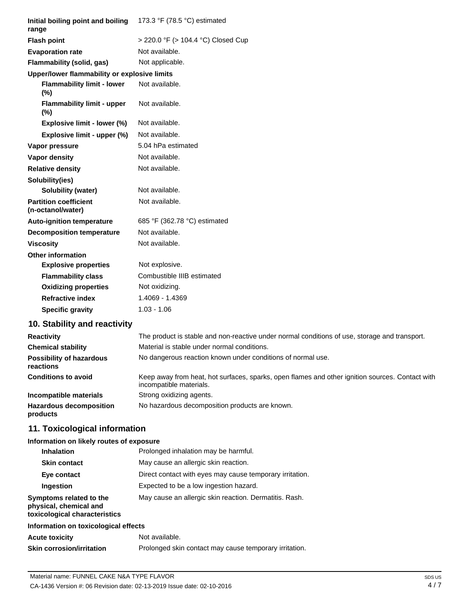| Initial boiling point and boiling<br>range        | 173.3 °F (78.5 °C) estimated       |
|---------------------------------------------------|------------------------------------|
| <b>Flash point</b>                                | > 220.0 °F (> 104.4 °C) Closed Cup |
| <b>Evaporation rate</b>                           | Not available.                     |
| Flammability (solid, gas)                         | Not applicable.                    |
| Upper/lower flammability or explosive limits      |                                    |
| <b>Flammability limit - lower</b><br>$(\%)$       | Not available.                     |
| <b>Flammability limit - upper</b><br>(%)          | Not available.                     |
| Explosive limit - lower (%)                       | Not available.                     |
| Explosive limit - upper (%)                       | Not available.                     |
| Vapor pressure                                    | 5.04 hPa estimated                 |
| <b>Vapor density</b>                              | Not available.                     |
| <b>Relative density</b>                           | Not available.                     |
| Solubility(ies)                                   |                                    |
| <b>Solubility (water)</b>                         | Not available.                     |
| <b>Partition coefficient</b><br>(n-octanol/water) | Not available.                     |
| <b>Auto-ignition temperature</b>                  | 685 °F (362.78 °C) estimated       |
| <b>Decomposition temperature</b>                  | Not available.                     |
| <b>Viscosity</b>                                  | Not available.                     |
| <b>Other information</b>                          |                                    |
| <b>Explosive properties</b>                       | Not explosive.                     |
| <b>Flammability class</b>                         | Combustible IIIB estimated         |
| <b>Oxidizing properties</b>                       | Not oxidizing.                     |
| <b>Refractive index</b>                           | 1.4069 - 1.4369                    |
| <b>Specific gravity</b>                           | $1.03 - 1.06$                      |

# **10. Stability and reactivity**

| <b>Reactivity</b>                            | The product is stable and non-reactive under normal conditions of use, storage and transport.                              |
|----------------------------------------------|----------------------------------------------------------------------------------------------------------------------------|
| <b>Chemical stability</b>                    | Material is stable under normal conditions.                                                                                |
| <b>Possibility of hazardous</b><br>reactions | No dangerous reaction known under conditions of normal use.                                                                |
| <b>Conditions to avoid</b>                   | Keep away from heat, hot surfaces, sparks, open flames and other ignition sources. Contact with<br>incompatible materials. |
| Incompatible materials                       | Strong oxidizing agents.                                                                                                   |
| <b>Hazardous decomposition</b><br>products   | No hazardous decomposition products are known.                                                                             |

# **11. Toxicological information**

# **Information on likely routes of exposure**

| <b>Inhalation</b>                                                                  | Prolonged inhalation may be harmful.                     |
|------------------------------------------------------------------------------------|----------------------------------------------------------|
| <b>Skin contact</b>                                                                | May cause an allergic skin reaction.                     |
| Eye contact                                                                        | Direct contact with eyes may cause temporary irritation. |
| Ingestion                                                                          | Expected to be a low ingestion hazard.                   |
| Symptoms related to the<br>physical, chemical and<br>toxicological characteristics | May cause an allergic skin reaction. Dermatitis. Rash.   |
| Information on toxicological effects                                               |                                                          |
| <b>Acute toxicity</b>                                                              | Not available.                                           |
| <b>Skin corrosion/irritation</b>                                                   | Prolonged skin contact may cause temporary irritation.   |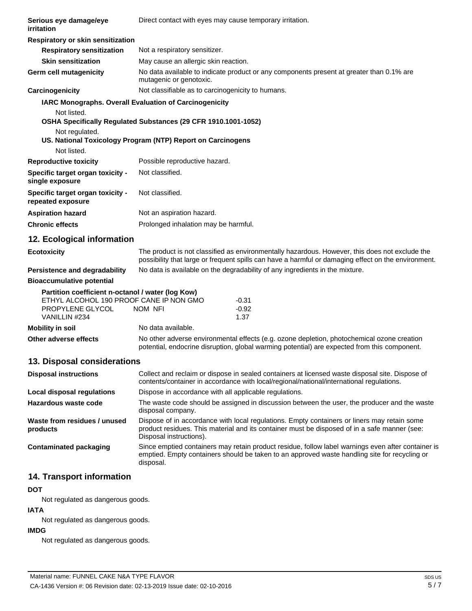| Serious eye damage/eye<br>irritation                                                                                              | Direct contact with eyes may cause temporary irritation.                                                                                                                                    |                                                                                                                                                                                                       |  |
|-----------------------------------------------------------------------------------------------------------------------------------|---------------------------------------------------------------------------------------------------------------------------------------------------------------------------------------------|-------------------------------------------------------------------------------------------------------------------------------------------------------------------------------------------------------|--|
| Respiratory or skin sensitization                                                                                                 |                                                                                                                                                                                             |                                                                                                                                                                                                       |  |
| <b>Respiratory sensitization</b>                                                                                                  | Not a respiratory sensitizer.                                                                                                                                                               |                                                                                                                                                                                                       |  |
| <b>Skin sensitization</b>                                                                                                         | May cause an allergic skin reaction.                                                                                                                                                        |                                                                                                                                                                                                       |  |
| Germ cell mutagenicity                                                                                                            | mutagenic or genotoxic.                                                                                                                                                                     | No data available to indicate product or any components present at greater than 0.1% are                                                                                                              |  |
| Carcinogenicity                                                                                                                   | Not classifiable as to carcinogenicity to humans.                                                                                                                                           |                                                                                                                                                                                                       |  |
| IARC Monographs. Overall Evaluation of Carcinogenicity                                                                            |                                                                                                                                                                                             |                                                                                                                                                                                                       |  |
| Not listed.                                                                                                                       | OSHA Specifically Regulated Substances (29 CFR 1910.1001-1052)                                                                                                                              |                                                                                                                                                                                                       |  |
| Not regulated.                                                                                                                    | US. National Toxicology Program (NTP) Report on Carcinogens                                                                                                                                 |                                                                                                                                                                                                       |  |
| Not listed.                                                                                                                       |                                                                                                                                                                                             |                                                                                                                                                                                                       |  |
| <b>Reproductive toxicity</b>                                                                                                      | Possible reproductive hazard.                                                                                                                                                               |                                                                                                                                                                                                       |  |
| Specific target organ toxicity -<br>single exposure                                                                               | Not classified.                                                                                                                                                                             |                                                                                                                                                                                                       |  |
| Specific target organ toxicity -<br>repeated exposure                                                                             | Not classified.                                                                                                                                                                             |                                                                                                                                                                                                       |  |
| <b>Aspiration hazard</b>                                                                                                          | Not an aspiration hazard.                                                                                                                                                                   |                                                                                                                                                                                                       |  |
| <b>Chronic effects</b>                                                                                                            | Prolonged inhalation may be harmful.                                                                                                                                                        |                                                                                                                                                                                                       |  |
| 12. Ecological information                                                                                                        |                                                                                                                                                                                             |                                                                                                                                                                                                       |  |
| <b>Ecotoxicity</b>                                                                                                                |                                                                                                                                                                                             | The product is not classified as environmentally hazardous. However, this does not exclude the<br>possibility that large or frequent spills can have a harmful or damaging effect on the environment. |  |
| <b>Persistence and degradability</b>                                                                                              |                                                                                                                                                                                             | No data is available on the degradability of any ingredients in the mixture.                                                                                                                          |  |
| <b>Bioaccumulative potential</b>                                                                                                  |                                                                                                                                                                                             |                                                                                                                                                                                                       |  |
| Partition coefficient n-octanol / water (log Kow)<br>ETHYL ALCOHOL 190 PROOF CANE IP NON GMO<br>PROPYLENE GLYCOL<br>VANILLIN #234 | $-0.31$<br>$-0.92$<br>NOM NFI<br>1.37                                                                                                                                                       |                                                                                                                                                                                                       |  |
| <b>Mobility in soil</b>                                                                                                           | No data available.                                                                                                                                                                          |                                                                                                                                                                                                       |  |
| Other adverse effects                                                                                                             |                                                                                                                                                                                             | No other adverse environmental effects (e.g. ozone depletion, photochemical ozone creation<br>potential, endocrine disruption, global warming potential) are expected from this component.            |  |
| 13. Disposal considerations                                                                                                       |                                                                                                                                                                                             |                                                                                                                                                                                                       |  |
| <b>Disposal instructions</b>                                                                                                      | Collect and reclaim or dispose in sealed containers at licensed waste disposal site. Dispose of<br>contents/container in accordance with local/regional/national/international regulations. |                                                                                                                                                                                                       |  |
| Local disposal regulations                                                                                                        | Dispose in accordance with all applicable regulations.                                                                                                                                      |                                                                                                                                                                                                       |  |
| Hazardous waste code                                                                                                              | The waste code should be assigned in discussion between the user, the producer and the waste<br>disposal company.                                                                           |                                                                                                                                                                                                       |  |
| Waste from residues / unused<br>products                                                                                          | Disposal instructions).                                                                                                                                                                     | Dispose of in accordance with local regulations. Empty containers or liners may retain some<br>product residues. This material and its container must be disposed of in a safe manner (see:           |  |
| <b>Contaminated packaging</b>                                                                                                     | disposal.                                                                                                                                                                                   | Since emptied containers may retain product residue, follow label warnings even after container is<br>emptied. Empty containers should be taken to an approved waste handling site for recycling or   |  |
|                                                                                                                                   |                                                                                                                                                                                             |                                                                                                                                                                                                       |  |

# **14. Transport information**

## **DOT**

Not regulated as dangerous goods.

# **IATA**

Not regulated as dangerous goods.

## **IMDG**

Not regulated as dangerous goods.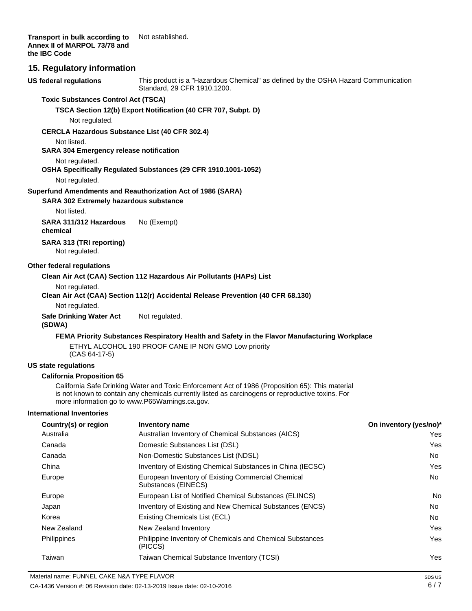**Transport in bulk according to Annex II of MARPOL 73/78 and the IBC Code** Not established.

### **15. Regulatory information**

**US federal regulations** This product is a "Hazardous Chemical" as defined by the OSHA Hazard Communication Standard, 29 CFR 1910.1200.

#### **Toxic Substances Control Act (TSCA)**

**TSCA Section 12(b) Export Notification (40 CFR 707, Subpt. D)**

Not regulated.

#### **CERCLA Hazardous Substance List (40 CFR 302.4)**

Not listed.

**SARA 304 Emergency release notification**

### Not regulated.

### **OSHA Specifically Regulated Substances (29 CFR 1910.1001-1052)**

Not regulated.

#### **Superfund Amendments and Reauthorization Act of 1986 (SARA)**

**SARA 302 Extremely hazardous substance**

Not listed.

**SARA 311/312 Hazardous chemical** No (Exempt)

**SARA 313 (TRI reporting)** Not regulated.

#### **Other federal regulations**

#### **Clean Air Act (CAA) Section 112 Hazardous Air Pollutants (HAPs) List**

Not regulated.

#### **Clean Air Act (CAA) Section 112(r) Accidental Release Prevention (40 CFR 68.130)**

Not regulated.

**Safe Drinking Water Act (SDWA)** Not regulated.

#### **FEMA Priority Substances Respiratory Health and Safety in the Flavor Manufacturing Workplace**

ETHYL ALCOHOL 190 PROOF CANE IP NON GMO Low priority (CAS 64-17-5)

#### **US state regulations**

#### **California Proposition 65**

California Safe Drinking Water and Toxic Enforcement Act of 1986 (Proposition 65): This material is not known to contain any chemicals currently listed as carcinogens or reproductive toxins. For more information go t[o www.P65Warnings.ca.gov.](http://www.p65warnings.ca.gov/)

#### **International Inventories**

| Country(s) or region | <b>Inventory name</b>                                                     | On inventory (yes/no)* |
|----------------------|---------------------------------------------------------------------------|------------------------|
| Australia            | Australian Inventory of Chemical Substances (AICS)                        | Yes.                   |
| Canada               | Domestic Substances List (DSL)                                            | <b>Yes</b>             |
| Canada               | Non-Domestic Substances List (NDSL)                                       | No                     |
| China                | Inventory of Existing Chemical Substances in China (IECSC)                | Yes                    |
| Europe               | European Inventory of Existing Commercial Chemical<br>Substances (EINECS) | No                     |
| Europe               | European List of Notified Chemical Substances (ELINCS)                    | No.                    |
| Japan                | Inventory of Existing and New Chemical Substances (ENCS)                  | No.                    |
| Korea                | Existing Chemicals List (ECL)                                             | No.                    |
| New Zealand          | New Zealand Inventory                                                     | Yes                    |
| Philippines          | Philippine Inventory of Chemicals and Chemical Substances<br>(PICCS)      | Yes                    |
| Taiwan               | Taiwan Chemical Substance Inventory (TCSI)                                | Yes                    |